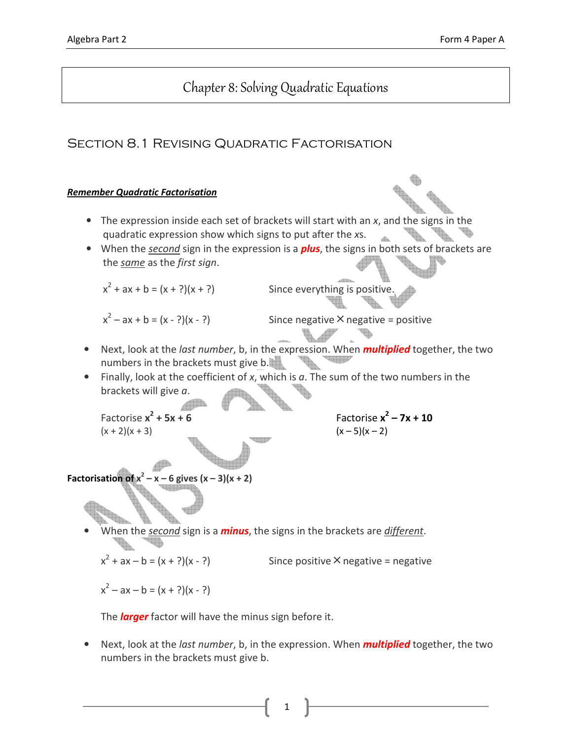# Chapter 8: Solving Quadratic Equations

## Section 8.1 Revising Quadratic Factorisation

#### Remember Quadratic Factorisation

- The expression inside each set of brackets will start with an x, and the signs in the quadratic expression show which signs to put after the xs.  $AB$
- When the *second* sign in the expression is a **plus**, the signs in both sets of brackets are the same as the first sign.

 $x^2$ 

Since everything is positive.

 $x^2$ 

Since negative  $\times$  negative = positive

- Next, look at the *last number*, b, in the expression. When **multiplied** together, the two numbers in the brackets must give b.
- Finally, look at the coefficient of x, which is  $a$ . The sum of the two numbers in the brackets will give a.

Factorise x<sup>2</sup>  $(x + 2)(x + 3)$   $(x - 5)(x - 2)$ 

 $+ 5x + 6$  Factorise  $x^2 - 7x + 10$ 

Factorisation of  $x^2 - x - 6$  gives  $(x - 3)(x + 2)$ 

When the *second* sign is a *minus*, the signs in the brackets are *different*.

 $x^2$ Since positive  $\times$  negative = negative

 $x^2 - ax - b = (x + ?)(x - ?)$ 

The **larger** factor will have the minus sign before it.

• Next, look at the *last number*, b, in the expression. When **multiplied** together, the two numbers in the brackets must give b.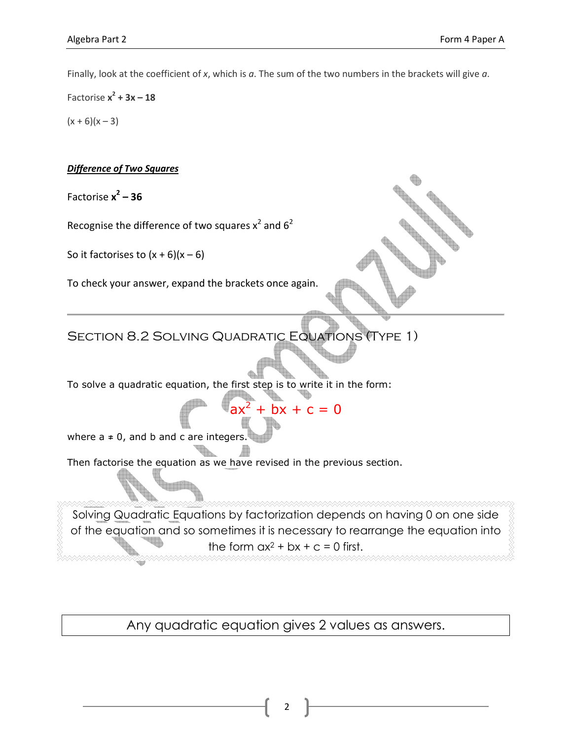Finally, look at the coefficient of x, which is  $a$ . The sum of the two numbers in the brackets will give  $a$ .

Factorise  $x^2 + 3x - 18$  $(x + 6)(x - 3)$ 

#### **Difference of Two Squares**

Factorise  $x^2 - 36$ 

Recognise the difference of two squares  $x^2$  and  $6^2$ 

So it factorises to  $(x + 6)(x - 6)$ 

To check your answer, expand the brackets once again.

SECTION 8.2 SOLVING QUADRATIC EQUATIONS (TYPE 1)

To solve a quadratic equation, the first step is to write it in the form:

 $ax^2$ 

where  $a \neq 0$ , and b and c are integers.

Then factorise the equation as we have revised in the previous section.

Solving Quadratic Equations by factorization depends on having 0 on one side of the equation and so sometimes it is necessary to rearrange the equation into the form  $ax^2 + bx + c = 0$  first.

 $+ bx + c = 0$ 

Any quadratic equation gives 2 values as answers.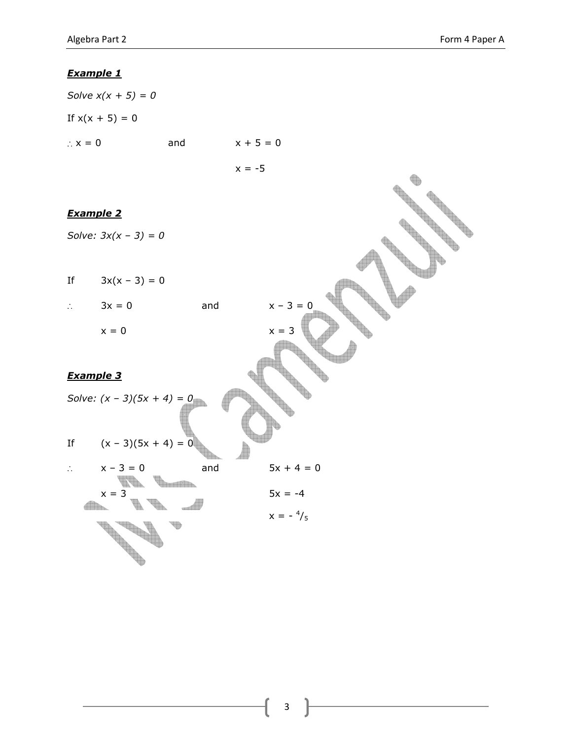Solve  $x(x + 5) = 0$ If  $x(x + 5) = 0$ ∴  $x = 0$  and  $x + 5 = 0$  $x = -5$ Example 2 Solve:  $3x(x - 3) = 0$ If  $3x(x - 3) = 0$ ∴  $3x = 0$  and  $x - 3 = 0$  $x = 0$   $x = 3$ Example 3 Solve:  $(x - 3)(5x + 4) = 0$ If  $(x - 3)(5x + 4) = 0$ ∴  $x - 3 = 0$  and  $5x + 4 = 0$  $x = 3$   $5x = -4$ **TAN** dh.  $x = -\frac{4}{5}$  $\sim$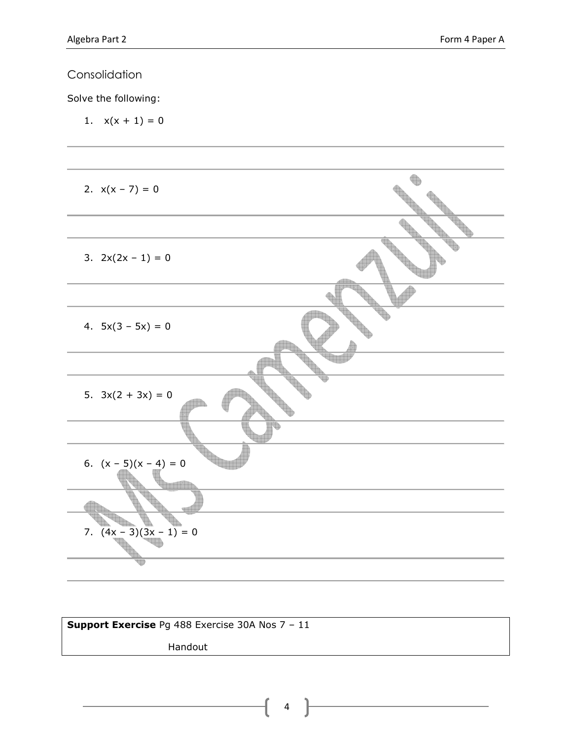Solve the following:

1.  $x(x + 1) = 0$ 



| <b>Support Exercise</b> Pg 488 Exercise 30A Nos $7 - 11$ |  |  |  |  |
|----------------------------------------------------------|--|--|--|--|
|                                                          |  |  |  |  |
| Handout                                                  |  |  |  |  |
|                                                          |  |  |  |  |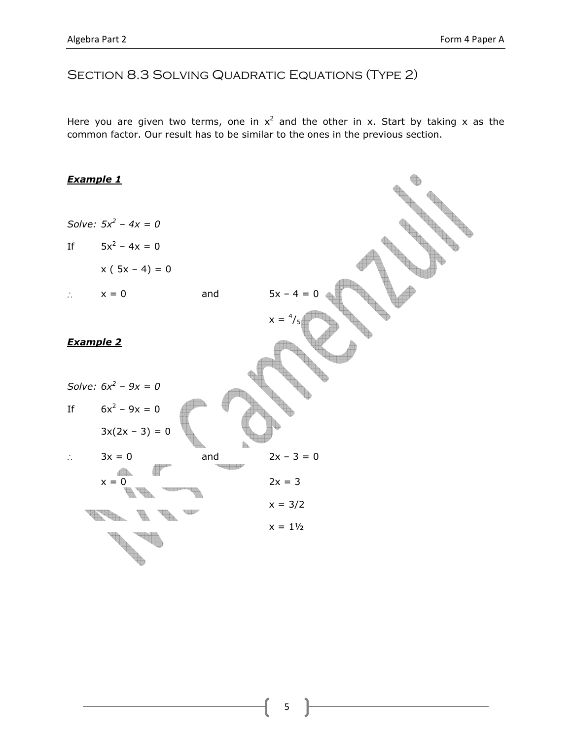### SECTION 8.3 SOLVING QUADRATIC EQUATIONS (TYPE 2)

Here you are given two terms, one in  $x^2$  and the other in x. Start by taking x as the common factor. Our result has to be similar to the ones in the previous section.

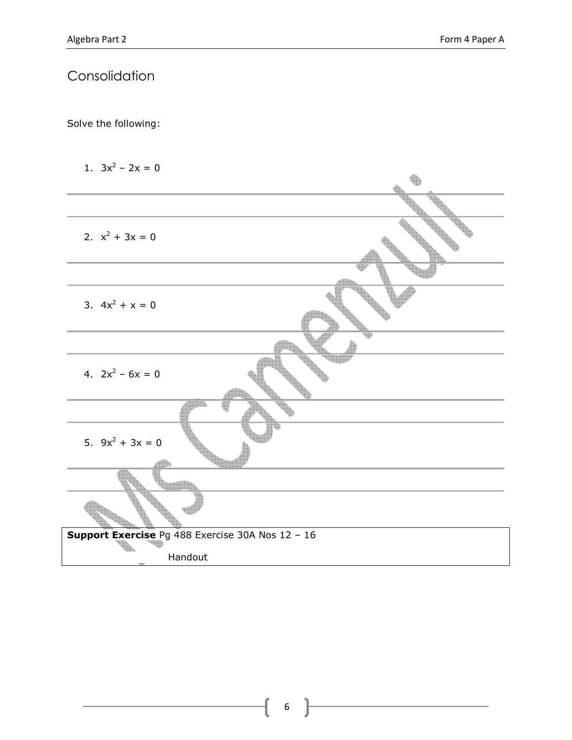Solve the following:

1.  $3x^2 - 2x = 0$ 

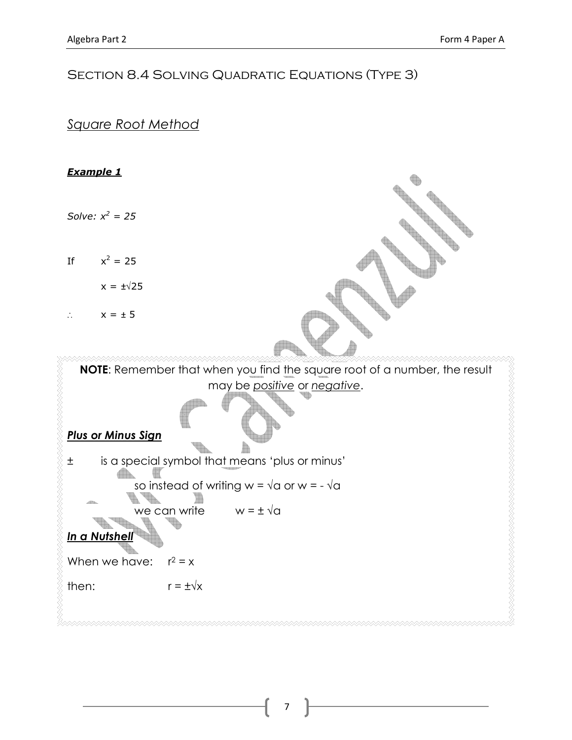## SECTION 8.4 SOLVING QUADRATIC EQUATIONS (TYPE 3)

### Square Root Method

### Example 1

Solve:  $x^2 = 25$ 

If  $x^2 = 25$ 

 $x = \pm \sqrt{25}$ 

∴  $x = ± 5$ 

NOTE: Remember that when you find the square root of a number, the result may be positive or negative.

Plus or Minus Sign

± is a special symbol that means 'plus or minus' Æ. so instead of writing w =  $\sqrt{a}$  or w = - $\sqrt{a}$ L. we can write  $w = \pm \sqrt{a}$ In a Nutshel

When we have:  $r^2 = x$ 

then:  $r = \pm \sqrt{x}$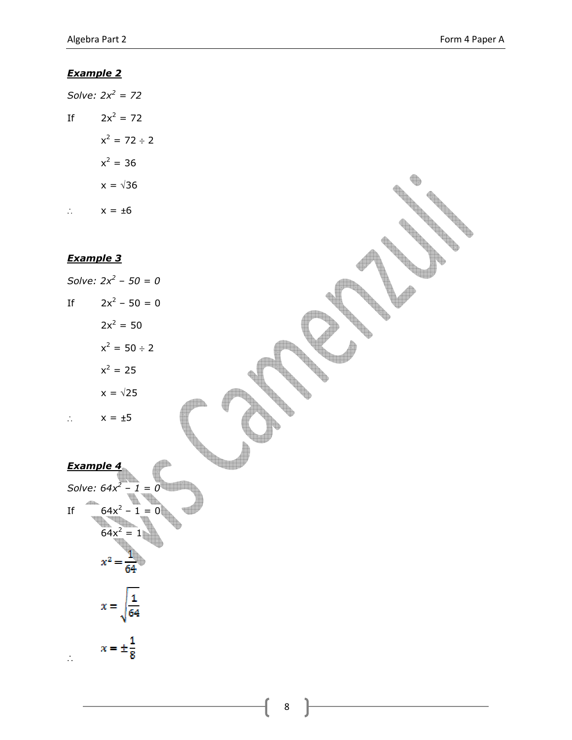**Contract Contract Contract Contract Contract Contract Contract Contract Contract Contract Contract Contract C** 

#### Example 2

|    | Solve: $2x^2 = 72$ |
|----|--------------------|
| If | $2x^2 = 72$        |
|    | $x^2 = 72 \div 2$  |
|    | $x^2 = 36$         |
|    | $x = \sqrt{36}$    |
|    | $x = \pm 6$        |

### Example 3

Solve:  $2x^2 - 50 = 0$ If  $2x^2 - 50 = 0$  $2x^2 = 50$  $x^2 = 50 \div 2$  $x^2 = 25$  $x = \sqrt{25}$ ∴  $x = ±5$ Example 4 Solve:  $64x^2 - 1 = 0$ If  $64x^2 - 1 = 0$  $64x^2 = 1$  $x^2 = \frac{1}{64}$  $x = \sqrt{\frac{1}{64}}$ 

 $x = \pm \frac{1}{8}$ ∴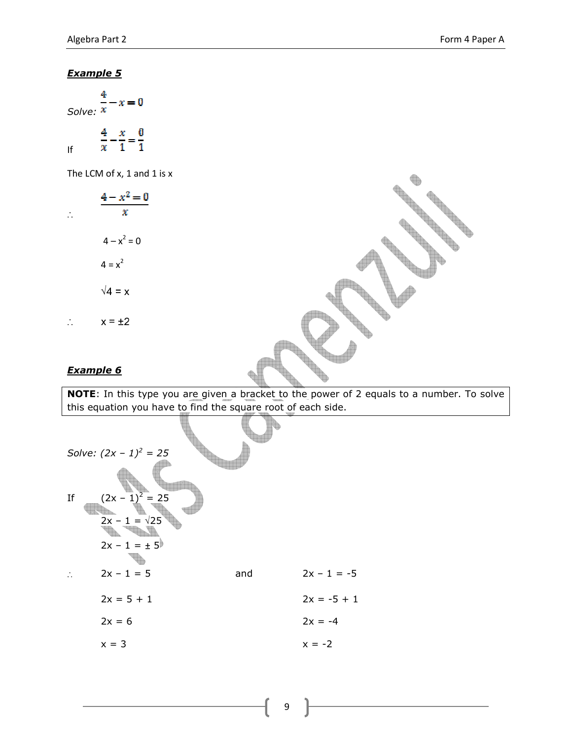$x=0$ Solve:  $x$  $\frac{4}{x} - \frac{x}{1} = \frac{0}{1}$ If

The LCM of x, 1 and 1 is x

$$
\frac{4 - x^2 = 0}{x}
$$
  
\n
$$
4 - x^2 = 0
$$
  
\n
$$
4 = x^2
$$
  
\n
$$
\sqrt{4} = x
$$
  
\n
$$
\therefore \qquad x = \pm 2
$$

#### Example 6

NOTE: In this type you are given a bracket to the power of 2 equals to a number. To solve this equation you have to find the square root of each side.

|    | Solve: $(2x - 1)^2 = 25$ |     |               |
|----|--------------------------|-----|---------------|
|    |                          |     |               |
| Ιf | $(2x - 1)^2 = 25$        |     |               |
|    | $2x - 1 = \sqrt{25}$     |     |               |
|    | $2x - 1 = \pm 5$         |     |               |
|    | $2x - 1 = 5$             | and | $2x - 1 = -5$ |
|    | $2x = 5 + 1$             |     | $2x = -5 + 1$ |
|    | $2x = 6$                 |     | $2x = -4$     |
|    | $x = 3$                  |     | $x = -2$      |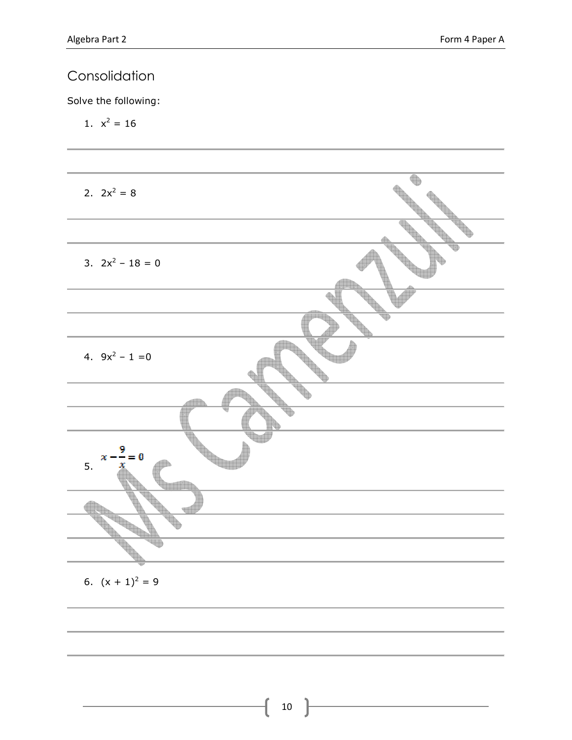Solve the following:

1.  $x^2 = 16$ 



6.  $(x + 1)^2 = 9$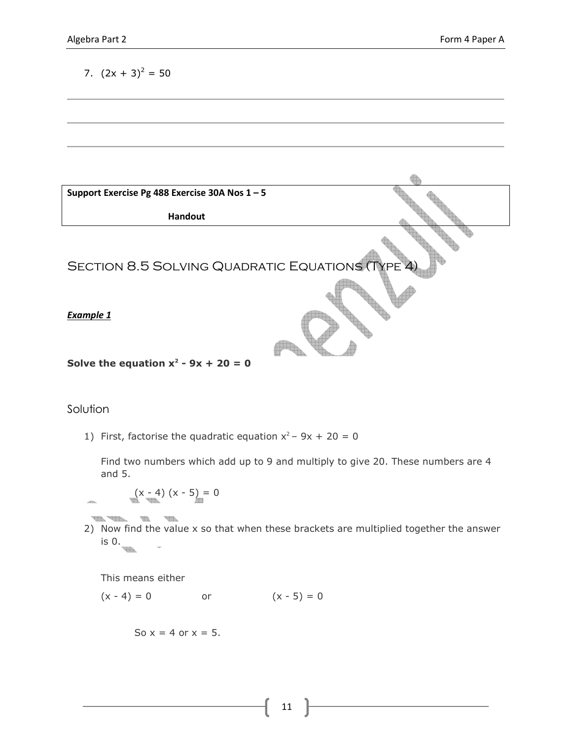7. 
$$
(2x + 3)^2 = 50
$$



#### Solution

1) First, factorise the quadratic equation  $x^2 - 9x + 20 = 0$ 

Find two numbers which add up to 9 and multiply to give 20. These numbers are 4 and 5.

$$
(x - 4) (x - 5) = 0
$$

 $\frac{1}{\sqrt{2}}\int_{\mathbb{R}^2}\frac{1}{\sqrt{2}}\frac{1}{\sqrt{2}}\int_{\mathbb{R}^2}\frac{1}{\sqrt{2}}\frac{1}{\sqrt{2}}\int_{\mathbb{R}^2}\frac{1}{\sqrt{2}}\frac{1}{\sqrt{2}}\int_{\mathbb{R}^2}\frac{1}{\sqrt{2}}\frac{1}{\sqrt{2}}\int_{\mathbb{R}^2}\frac{1}{\sqrt{2}}\frac{1}{\sqrt{2}}\int_{\mathbb{R}^2}\frac{1}{\sqrt{2}}\int_{\mathbb{R}^2}\frac{1}{\sqrt{2}}\int_{\mathbb{R}^2}\frac$ 2) Now find the value x so that when these brackets are multiplied together the answer is 0. **BEE** 

This means either

 $(x - 4) = 0$  or  $(x - 5) = 0$ 

So  $x = 4$  or  $x = 5$ .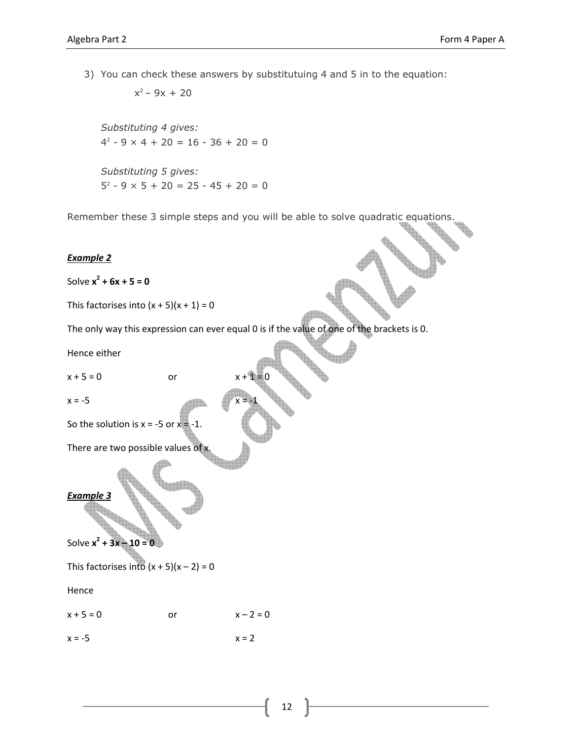3) You can check these answers by substitutuing 4 and 5 in to the equation:

 $x^2 - 9x + 20$ 

Substituting 4 gives:  $4^2 - 9 \times 4 + 20 = 16 - 36 + 20 = 0$ Substituting 5 gives:  $5^2 - 9 \times 5 + 20 = 25 - 45 + 20 = 0$ 

Remember these 3 simple steps and you will be able to solve quadratic equations.

#### Example 2

Solve  $x^2$  + 6x + 5 = 0

This factorises into  $(x + 5)(x + 1) = 0$ 

The only way this expression can ever equal 0 is if the value of one of the brackets is 0.

Hence either

 $x + 5 = 0$  or

 $x = -5$ 

So the solution is  $x = -5$  or  $x = -1$ .

There are two possible values of x.

#### Example 3

Solve  $x^2 + 3x - 10 = 0$ 

This factorises into  $(x + 5)(x - 2) = 0$ 

Hence

 $x + 5 = 0$  or  $x - 2 = 0$ 

 $x = -5$   $x = 2$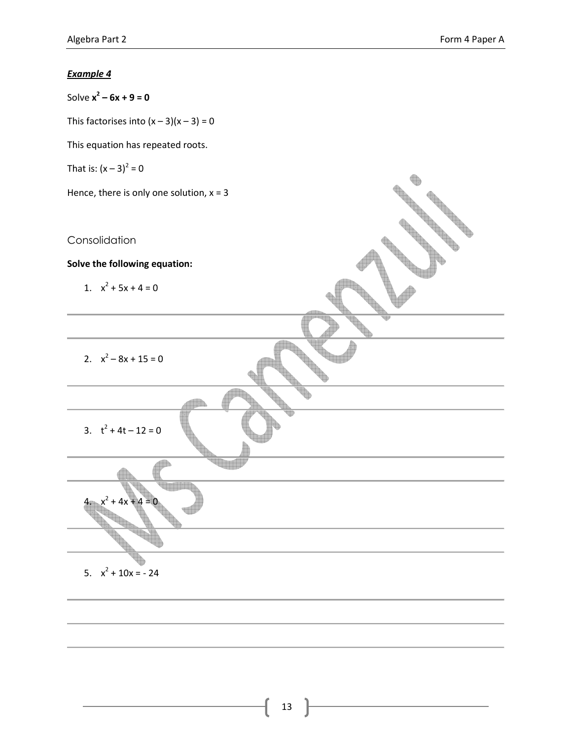Solve  $x^2 - 6x + 9 = 0$ 

This factorises into  $(x-3)(x-3) = 0$ 

This equation has repeated roots.

That is: 
$$
(x - 3)^2 = 0
$$

Hence, there is only one solution,  $x = 3$ 

Consolidation

Solve the following equation:

1.  $x^2 + 5x + 4 = 0$ 

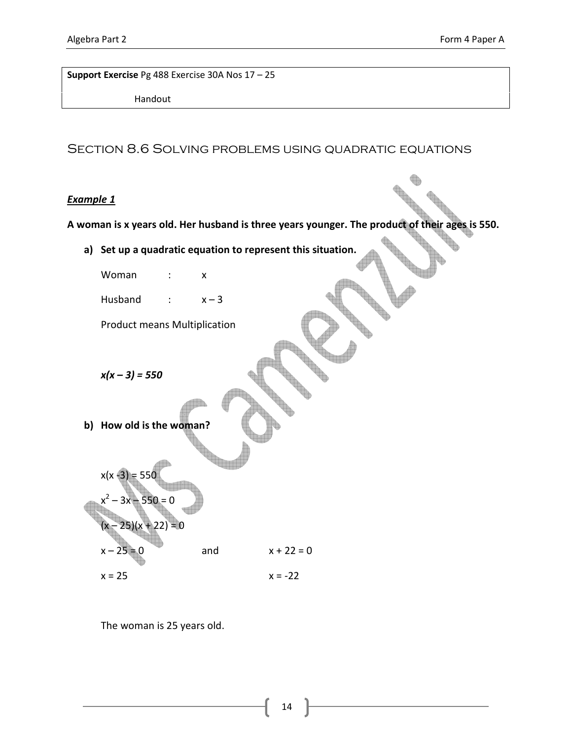Support Exercise Pg 488 Exercise 30A Nos 17 – 25

Handout

## Section 8.6 Solving problems using quadratic equations

#### Example 1

A woman is x years old. Her husband is three years younger. The product of their ages is 550.

a) Set up a quadratic equation to represent this situation.

Woman : x

Husband :  $x-3$ 

Product means Multiplication

 $x(x - 3) = 550$ 

b) How old is the woman?



The woman is 25 years old.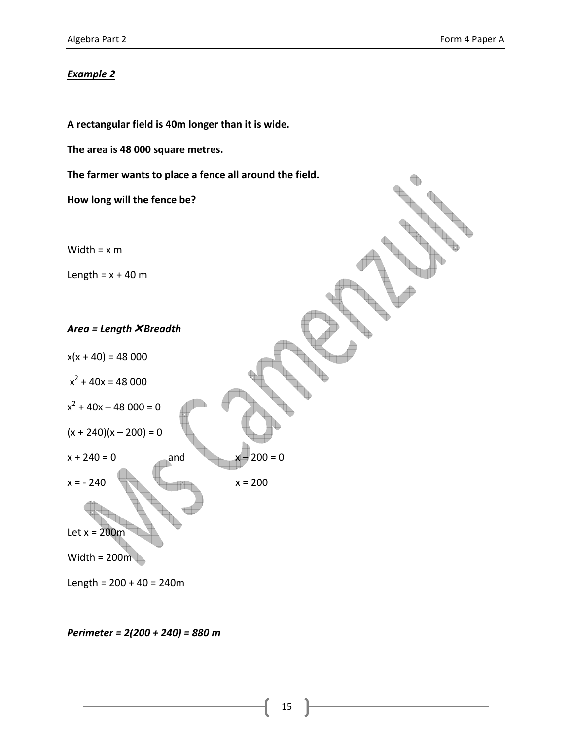A rectangular field is 40m longer than it is wide.

The area is 48 000 square metres.

The farmer wants to place a fence all around the field.

How long will the fence be?

Width =  $\times$  m

Length =  $x + 40$  m

Area = Length  $X$ Breadth

 $x(x + 40) = 48000$  $x^2 + 40x = 48000$  $x^2 + 40x - 48000 = 0$  $(x + 240)(x - 200) = 0$  $x + 240 = 0$  and  $x - 200 = 0$  $x = -240$   $x = 200$ Let  $x = 200$ m

Width =  $200m$ 

Length =  $200 + 40 = 240$ m

Perimeter = 2(200 + 240) = 880 m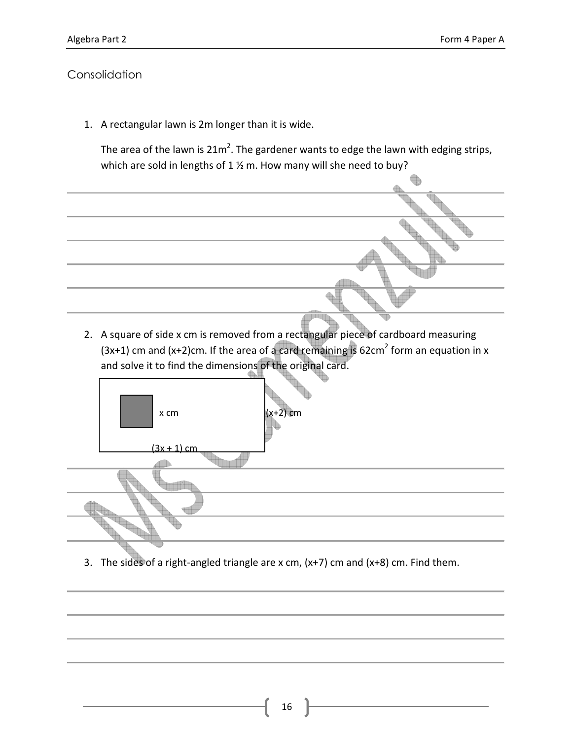1. A rectangular lawn is 2m longer than it is wide.

The area of the lawn is  $21m^2$ . The gardener wants to edge the lawn with edging strips, which are sold in lengths of  $1 \frac{1}{2}$  m. How many will she need to buy?



2. A square of side x cm is removed from a rectangular piece of cardboard measuring  $(3x+1)$  cm and  $(x+2)$ cm. If the area of a card remaining is 62cm<sup>2</sup> form an equation in x and solve it to find the dimensions of the original card.



3. The sides of a right-angled triangle are x cm,  $(x+7)$  cm and  $(x+8)$  cm. Find them.